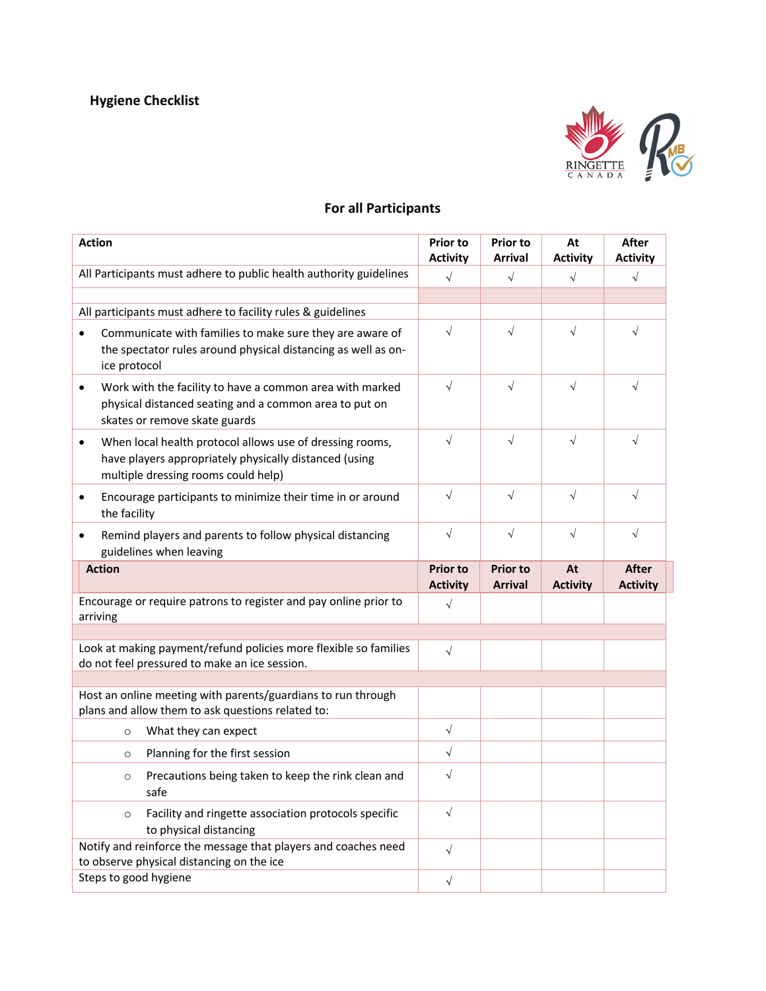

## **For all Participants**

| <b>Action</b>                                                                                                                                                  | <b>Prior to</b><br><b>Activity</b> | <b>Prior to</b><br><b>Arrival</b> | At<br><b>Activity</b> | <b>After</b><br><b>Activity</b> |
|----------------------------------------------------------------------------------------------------------------------------------------------------------------|------------------------------------|-----------------------------------|-----------------------|---------------------------------|
| All Participants must adhere to public health authority guidelines                                                                                             | $\sqrt{ }$                         | $\sqrt{ }$                        | $\sqrt{ }$            | $\sqrt{ }$                      |
|                                                                                                                                                                |                                    |                                   |                       |                                 |
| All participants must adhere to facility rules & guidelines                                                                                                    |                                    |                                   |                       |                                 |
| Communicate with families to make sure they are aware of<br>$\bullet$<br>the spectator rules around physical distancing as well as on-<br>ice protocol         | $\sqrt{ }$                         | $\sqrt{2}$                        | $\sqrt{ }$            | $\sqrt{}$                       |
| Work with the facility to have a common area with marked<br>٠<br>physical distanced seating and a common area to put on<br>skates or remove skate guards       | $\sqrt{ }$                         | $\sqrt{2}$                        | $\sqrt{ }$            | $\sqrt{ }$                      |
| When local health protocol allows use of dressing rooms,<br>٠<br>have players appropriately physically distanced (using<br>multiple dressing rooms could help) | $\sqrt{ }$                         | $\sqrt{ }$                        | $\sqrt{ }$            | $\sqrt{ }$                      |
| Encourage participants to minimize their time in or around<br>٠<br>the facility                                                                                | $\sqrt{ }$                         | $\sqrt{2}$                        | $\sqrt{ }$            | $\sqrt{ }$                      |
| Remind players and parents to follow physical distancing<br>$\bullet$<br>guidelines when leaving                                                               | $\sqrt{ }$                         | $\sqrt{2}$                        | $\sqrt{ }$            | $\sqrt{ }$                      |
|                                                                                                                                                                |                                    |                                   |                       |                                 |
| <b>Action</b>                                                                                                                                                  | <b>Prior to</b><br><b>Activity</b> | <b>Prior to</b><br><b>Arrival</b> | At<br><b>Activity</b> | <b>After</b><br><b>Activity</b> |
| Encourage or require patrons to register and pay online prior to<br>arriving                                                                                   | $\sqrt{ }$                         |                                   |                       |                                 |
|                                                                                                                                                                |                                    |                                   |                       |                                 |
| Look at making payment/refund policies more flexible so families<br>do not feel pressured to make an ice session.                                              | $\sqrt{ }$                         |                                   |                       |                                 |
| Host an online meeting with parents/guardians to run through<br>plans and allow them to ask questions related to:                                              |                                    |                                   |                       |                                 |
| What they can expect<br>$\circ$                                                                                                                                | $\sqrt{ }$                         |                                   |                       |                                 |
| Planning for the first session<br>$\circ$                                                                                                                      | $\sqrt{ }$                         |                                   |                       |                                 |
| Precautions being taken to keep the rink clean and<br>$\circ$<br>safe                                                                                          | $\sqrt{ }$                         |                                   |                       |                                 |
| Facility and ringette association protocols specific<br>$\circ$<br>to physical distancing                                                                      | $\sqrt{}$                          |                                   |                       |                                 |
| Notify and reinforce the message that players and coaches need<br>to observe physical distancing on the ice<br>Steps to good hygiene                           | $\sqrt{ }$                         |                                   |                       |                                 |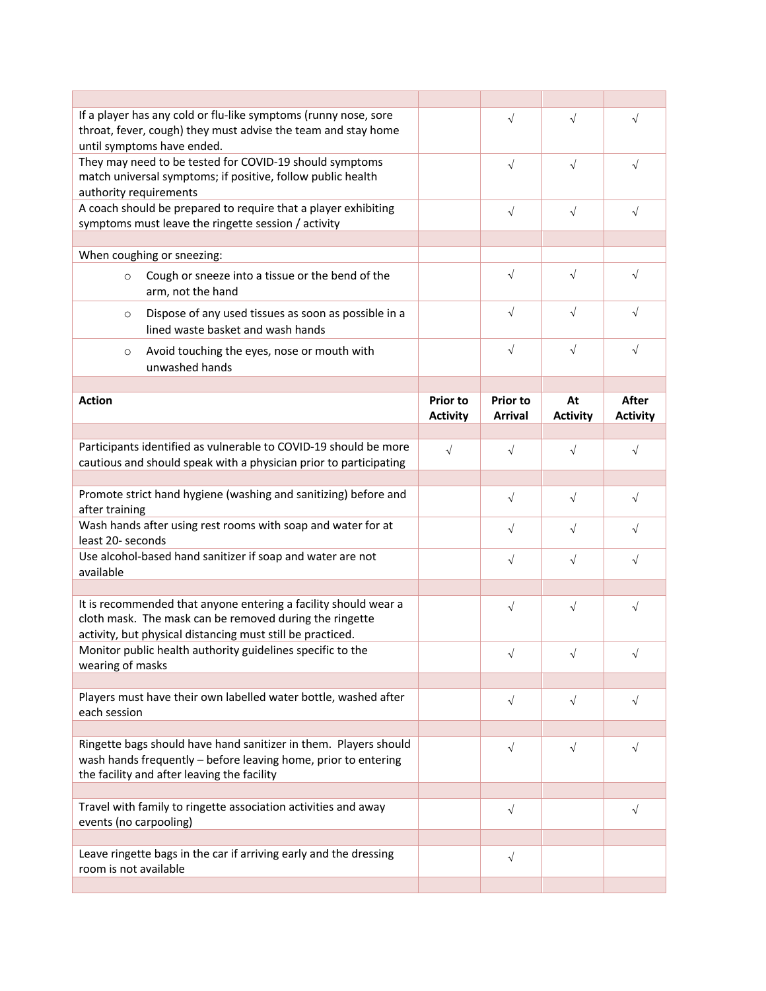| If a player has any cold or flu-like symptoms (runny nose, sore<br>throat, fever, cough) they must advise the team and stay home<br>until symptoms have ended.                           |                                    | $\sqrt{}$                         | $\sqrt{}$             | $\sqrt{ }$                      |
|------------------------------------------------------------------------------------------------------------------------------------------------------------------------------------------|------------------------------------|-----------------------------------|-----------------------|---------------------------------|
| They may need to be tested for COVID-19 should symptoms<br>match universal symptoms; if positive, follow public health<br>authority requirements                                         |                                    | $\sqrt{}$                         | $\sqrt{}$             | $\sqrt{ }$                      |
| A coach should be prepared to require that a player exhibiting<br>symptoms must leave the ringette session / activity                                                                    |                                    | $\sqrt{ }$                        | $\sqrt{ }$            | $\sqrt{2}$                      |
| When coughing or sneezing:                                                                                                                                                               |                                    |                                   |                       |                                 |
| Cough or sneeze into a tissue or the bend of the<br>$\circ$<br>arm, not the hand                                                                                                         |                                    | $\sqrt{2}$                        | $\sqrt{ }$            | $\sqrt{}$                       |
| Dispose of any used tissues as soon as possible in a<br>$\circ$<br>lined waste basket and wash hands                                                                                     |                                    | $\sqrt{}$                         | $\sqrt{ }$            | $\sqrt{}$                       |
| Avoid touching the eyes, nose or mouth with<br>$\circ$<br>unwashed hands                                                                                                                 |                                    | $\sqrt{ }$                        | $\sqrt{ }$            | $\sqrt{}$                       |
|                                                                                                                                                                                          |                                    |                                   |                       |                                 |
| <b>Action</b>                                                                                                                                                                            | <b>Prior to</b><br><b>Activity</b> | <b>Prior to</b><br><b>Arrival</b> | At<br><b>Activity</b> | <b>After</b><br><b>Activity</b> |
|                                                                                                                                                                                          |                                    |                                   |                       |                                 |
| Participants identified as vulnerable to COVID-19 should be more<br>cautious and should speak with a physician prior to participating                                                    | $\sqrt{}$                          | $\sqrt{}$                         | $\sqrt{ }$            | $\sqrt{}$                       |
| Promote strict hand hygiene (washing and sanitizing) before and                                                                                                                          |                                    |                                   |                       |                                 |
| after training                                                                                                                                                                           |                                    | $\sqrt{ }$                        | $\sqrt{ }$            | $\sqrt{2}$                      |
| Wash hands after using rest rooms with soap and water for at<br>least 20- seconds                                                                                                        |                                    | $\sqrt{ }$                        | $\sqrt{ }$            | $\sqrt{ }$                      |
| Use alcohol-based hand sanitizer if soap and water are not<br>available                                                                                                                  |                                    | $\sqrt{ }$                        | $\sqrt{ }$            | $\sqrt{ }$                      |
|                                                                                                                                                                                          |                                    |                                   |                       |                                 |
| It is recommended that anyone entering a facility should wear a<br>cloth mask. The mask can be removed during the ringette<br>activity, but physical distancing must still be practiced. |                                    | $\sqrt{}$                         | $\sqrt{ }$            | $\sqrt{}$                       |
| Monitor public health authority guidelines specific to the<br>wearing of masks                                                                                                           |                                    | $\sqrt{ }$                        | $\sqrt{2}$            |                                 |
|                                                                                                                                                                                          |                                    |                                   |                       |                                 |
| Players must have their own labelled water bottle, washed after<br>each session                                                                                                          |                                    | $\sqrt{ }$                        | $\sqrt{ }$            | $\sqrt{2}$                      |
|                                                                                                                                                                                          |                                    |                                   |                       |                                 |
| Ringette bags should have hand sanitizer in them. Players should<br>wash hands frequently - before leaving home, prior to entering<br>the facility and after leaving the facility        |                                    | $\sqrt{ }$                        | $\sqrt{ }$            | $\sqrt{}$                       |
|                                                                                                                                                                                          |                                    |                                   |                       |                                 |
| Travel with family to ringette association activities and away<br>events (no carpooling)                                                                                                 |                                    | $\sqrt{}$                         |                       | $\sqrt{ }$                      |
|                                                                                                                                                                                          |                                    |                                   |                       |                                 |
| Leave ringette bags in the car if arriving early and the dressing<br>room is not available                                                                                               |                                    | $\sqrt{2}$                        |                       |                                 |
|                                                                                                                                                                                          |                                    |                                   |                       |                                 |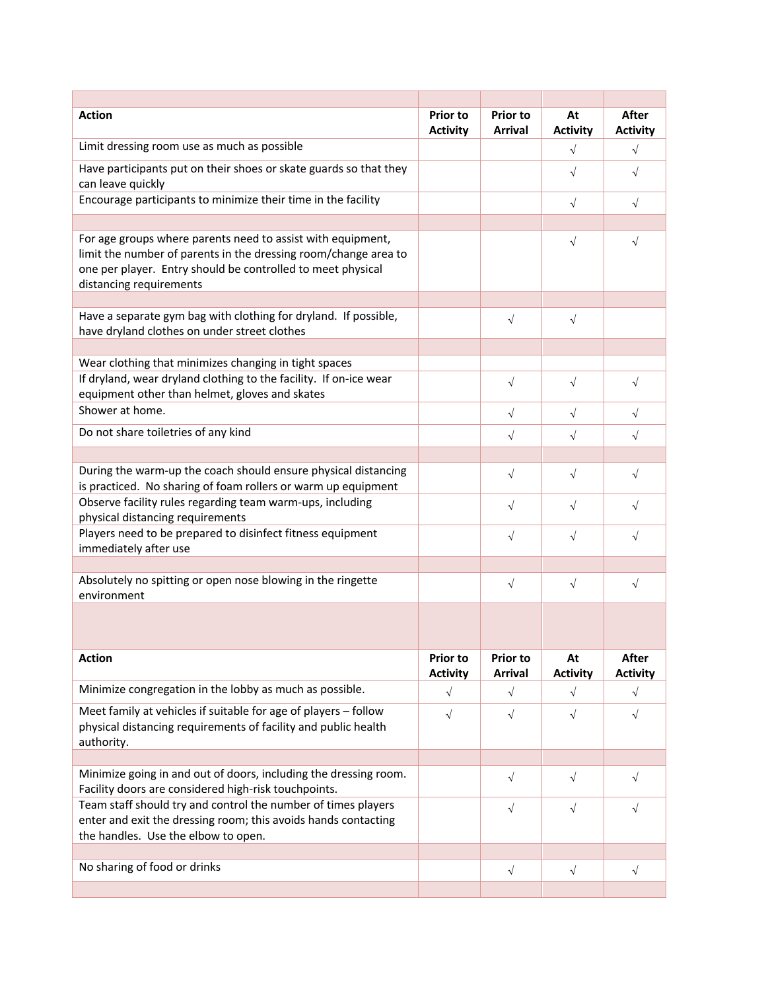| <b>Action</b>                                                                                                                                                                                                            | <b>Prior to</b><br><b>Activity</b> | <b>Prior to</b><br><b>Arrival</b> | At<br><b>Activity</b> | <b>After</b><br><b>Activity</b> |
|--------------------------------------------------------------------------------------------------------------------------------------------------------------------------------------------------------------------------|------------------------------------|-----------------------------------|-----------------------|---------------------------------|
| Limit dressing room use as much as possible                                                                                                                                                                              |                                    |                                   | $\sqrt{}$             | $\sqrt{}$                       |
| Have participants put on their shoes or skate guards so that they<br>can leave quickly                                                                                                                                   |                                    |                                   | $\sqrt{ }$            | $\sqrt{}$                       |
| Encourage participants to minimize their time in the facility                                                                                                                                                            |                                    |                                   | $\sqrt{ }$            | $\sqrt{}$                       |
|                                                                                                                                                                                                                          |                                    |                                   |                       |                                 |
| For age groups where parents need to assist with equipment,<br>limit the number of parents in the dressing room/change area to<br>one per player. Entry should be controlled to meet physical<br>distancing requirements |                                    |                                   | $\sqrt{2}$            | $\sqrt{}$                       |
| Have a separate gym bag with clothing for dryland. If possible,<br>have dryland clothes on under street clothes                                                                                                          |                                    | $\sqrt{ }$                        | $\sqrt{ }$            |                                 |
|                                                                                                                                                                                                                          |                                    |                                   |                       |                                 |
| Wear clothing that minimizes changing in tight spaces                                                                                                                                                                    |                                    |                                   |                       |                                 |
| If dryland, wear dryland clothing to the facility. If on-ice wear<br>equipment other than helmet, gloves and skates                                                                                                      |                                    | $\sqrt{}$                         | $\sqrt{2}$            | $\sqrt{}$                       |
| Shower at home.                                                                                                                                                                                                          |                                    | $\sqrt{2}$                        | $\sqrt{ }$            | $\sqrt{}$                       |
| Do not share toiletries of any kind                                                                                                                                                                                      |                                    | $\sqrt{ }$                        | $\sqrt{2}$            | $\sqrt{}$                       |
|                                                                                                                                                                                                                          |                                    |                                   |                       |                                 |
| During the warm-up the coach should ensure physical distancing<br>is practiced. No sharing of foam rollers or warm up equipment                                                                                          |                                    | $\sqrt{2}$                        | $\sqrt{2}$            | $\sqrt{}$                       |
| Observe facility rules regarding team warm-ups, including<br>physical distancing requirements                                                                                                                            |                                    | $\sqrt{}$                         | $\sqrt{}$             |                                 |
| Players need to be prepared to disinfect fitness equipment<br>immediately after use                                                                                                                                      |                                    | $\sqrt{ }$                        | $\sqrt{}$             |                                 |
|                                                                                                                                                                                                                          |                                    |                                   |                       |                                 |
| Absolutely no spitting or open nose blowing in the ringette<br>environment                                                                                                                                               |                                    | $\sqrt{ }$                        | $\sqrt{ }$            | $\sqrt{}$                       |
|                                                                                                                                                                                                                          |                                    |                                   |                       |                                 |
| <b>Action</b>                                                                                                                                                                                                            | <b>Prior to</b><br><b>Activity</b> | <b>Prior to</b><br><b>Arrival</b> | At<br><b>Activity</b> | After<br><b>Activity</b>        |
| Minimize congregation in the lobby as much as possible.                                                                                                                                                                  | $\sqrt{ }$                         | $\sqrt{ }$                        | $\sqrt{ }$            | $\sqrt{ }$                      |
| Meet family at vehicles if suitable for age of players - follow<br>physical distancing requirements of facility and public health<br>authority.                                                                          | $\sqrt{ }$                         | $\sqrt{ }$                        | $\sqrt{ }$            | $\sqrt{ }$                      |
|                                                                                                                                                                                                                          |                                    |                                   |                       |                                 |
| Minimize going in and out of doors, including the dressing room.<br>Facility doors are considered high-risk touchpoints.                                                                                                 |                                    | $\sqrt{}$                         | $\sqrt{ }$            | $\sqrt{}$                       |
| Team staff should try and control the number of times players<br>enter and exit the dressing room; this avoids hands contacting<br>the handles. Use the elbow to open.                                                   |                                    | $\sqrt{ }$                        | $\sqrt{ }$            | $\sqrt{}$                       |
|                                                                                                                                                                                                                          |                                    |                                   |                       |                                 |
| No sharing of food or drinks                                                                                                                                                                                             |                                    | $\sqrt{2}$                        | $\sqrt{ }$            | $\sqrt{}$                       |
|                                                                                                                                                                                                                          |                                    |                                   |                       |                                 |